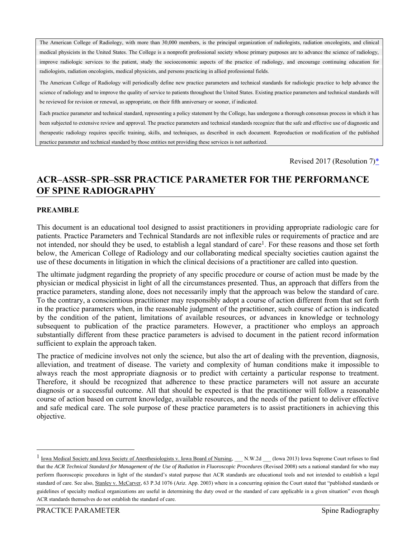The American College of Radiology, with more than 30,000 members, is the principal organization of radiologists, radiation oncologists, and clinical medical physicists in the United States. The College is a nonprofit professional society whose primary purposes are to advance the science of radiology, improve radiologic services to the patient, study the socioeconomic aspects of the practice of radiology, and encourage continuing education for radiologists, radiation oncologists, medical physicists, and persons practicing in allied professional fields.

The American College of Radiology will periodically define new practice parameters and technical standards for radiologic practice to help advance the science of radiology and to improve the quality of service to patients throughout the United States. Existing practice parameters and technical standards will be reviewed for revision or renewal, as appropriate, on their fifth anniversary or sooner, if indicated.

Each practice parameter and technical standard, representing a policy statement by the College, has undergone a thorough consensus process in which it has been subjected to extensive review and approval. The practice parameters and technical standards recognize that the safe and effective use of diagnostic and therapeutic radiology requires specific training, skills, and techniques, as described in each document. Reproduction or modification of the published practice parameter and technical standard by those entities not providing these services is not authorized.

Revised 2017 (Resolution 7[\)\\*](#page-8-0)

# **ACR–ASSR–SPR–SSR PRACTICE PARAMETER FOR THE PERFORMANCE OF SPINE RADIOGRAPHY**

## **PREAMBLE**

This document is an educational tool designed to assist practitioners in providing appropriate radiologic care for patients. Practice Parameters and Technical Standards are not inflexible rules or requirements of practice and are not intended, nor should they be used, to establish a legal standard of care<sup>1</sup>. For these reasons and those set forth below, the American College of Radiology and our collaborating medical specialty societies caution against the use of these documents in litigation in which the clinical decisions of a practitioner are called into question.

The ultimate judgment regarding the propriety of any specific procedure or course of action must be made by the physician or medical physicist in light of all the circumstances presented. Thus, an approach that differs from the practice parameters, standing alone, does not necessarily imply that the approach was below the standard of care. To the contrary, a conscientious practitioner may responsibly adopt a course of action different from that set forth in the practice parameters when, in the reasonable judgment of the practitioner, such course of action is indicated by the condition of the patient, limitations of available resources, or advances in knowledge or technology subsequent to publication of the practice parameters. However, a practitioner who employs an approach substantially different from these practice parameters is advised to document in the patient record information sufficient to explain the approach taken.

The practice of medicine involves not only the science, but also the art of dealing with the prevention, diagnosis, alleviation, and treatment of disease. The variety and complexity of human conditions make it impossible to always reach the most appropriate diagnosis or to predict with certainty a particular response to treatment. Therefore, it should be recognized that adherence to these practice parameters will not assure an accurate diagnosis or a successful outcome. All that should be expected is that the practitioner will follow a reasonable course of action based on current knowledge, available resources, and the needs of the patient to deliver effective and safe medical care. The sole purpose of these practice parameters is to assist practitioners in achieving this objective.

 $\ddot{\phantom{a}}$ 

<sup>&</sup>lt;sup>1</sup> Iowa Medical Society and Iowa Society of Anesthesiologists v. Iowa Board of Nursing, N.W.2d (Iowa 2013) Iowa Supreme Court refuses to find that the *ACR Technical Standard for Management of the Use of Radiation in Fluoroscopic Procedures* (Revised 2008) sets a national standard for who may perform fluoroscopic procedures in light of the standard's stated purpose that ACR standards are educational tools and not intended to establish a legal standard of care. See also, Stanley v. McCarver, 63 P.3d 1076 (Ariz. App. 2003) where in a concurring opinion the Court stated that "published standards or guidelines of specialty medical organizations are useful in determining the duty owed or the standard of care applicable in a given situation" even though ACR standards themselves do not establish the standard of care.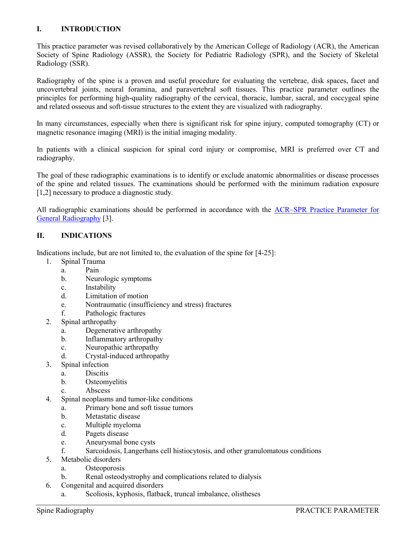## **I. INTRODUCTION**

This practice parameter was revised collaboratively by the American College of Radiology (ACR), the American Society of Spine Radiology (ASSR), the Society for Pediatric Radiology (SPR), and the Society of Skeletal Radiology (SSR).

Radiography of the spine is a proven and useful procedure for evaluating the vertebrae, disk spaces, facet and uncovertebral joints, neural foramina, and paravertebral soft tissues. This practice parameter outlines the principles for performing high-quality radiography of the cervical, thoracic, lumbar, sacral, and coccygeal spine and related osseous and soft-tissue structures to the extent they are visualized with radiography.

In many circumstances, especially when there is significant risk for spine injury, computed tomography (CT) or magnetic resonance imaging (MRI) is the initial imaging modality.

In patients with a clinical suspicion for spinal cord injury or compromise, MRI is preferred over CT and radiography.

The goal of these radiographic examinations is to identify or exclude anatomic abnormalities or disease processes of the spine and related tissues. The examinations should be performed with the minimum radiation exposure [\[1](#page-6-0)[,2\]](#page-6-1) necessary to produce a diagnostic study.

All radiographic examinations should be performed in accordance with the [ACR–SPR Practice Parameter for](https://www.acr.org/-/media/ACR/Files/Practice-Parameters/RadGen.pdf)  [General Radiography](https://www.acr.org/-/media/ACR/Files/Practice-Parameters/RadGen.pdf) [\[3\]](#page-6-2).

### **II. INDICATIONS**

Indications include, but are not limited to, the evaluation of the spine for [\[4-25\]](#page-6-3):

- 1. Spinal Trauma
	- a. Pain
	- b. Neurologic symptoms
	- c. Instability
	- d. Limitation of motion
	- e. Nontraumatic (insufficiency and stress) fractures
	- f. Pathologic fractures
- 2. Spinal arthropathy
	- a. Degenerative arthropathy
	- b. Inflammatory arthropathy
	- c. Neuropathic arthropathy
	- d. Crystal-induced arthropathy
- 3. Spinal infection
	- a. Discitis
	- b. Osteomyelitis
	- c. Abscess
- 4. Spinal neoplasms and tumor-like conditions
	- a. Primary bone and soft tissue tumors
	- b. Metastatic disease
	- c. Multiple myeloma
	- d. Pagets disease
	- e. Aneurysmal bone cysts
	- f. Sarcoidosis, Langerhans cell histiocytosis, and other granulomatous conditions
- 5. Metabolic disorders
	- a. Osteoporosis
	- b. Renal osteodystrophy and complications related to dialysis
- 6. Congenital and acquired disorders
	- a. Scoliosis, kyphosis, flatback, truncal imbalance, olistheses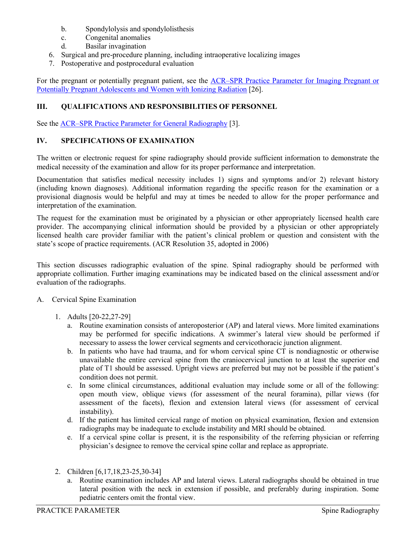- b. Spondylolysis and spondylolisthesis
- c. Congenital anomalies
- d. Basilar invagination
- 6. Surgical and pre-procedure planning, including intraoperative localizing images
- 7. Postoperative and postprocedural evaluation

For the pregnant or potentially pregnant patient, see the ACR–SPR [Practice Parameter for Imaging Pregnant or](https://www.acr.org/-/media/ACR/Files/Practice-Parameters/Pregnant-Pts.pdf)  [Potentially Pregnant Adolescents and Women with Ionizing Radiation](https://www.acr.org/-/media/ACR/Files/Practice-Parameters/Pregnant-Pts.pdf) [\[26\]](#page-7-0).

## **III. QUALIFICATIONS AND RESPONSIBILITIES OF PERSONNEL**

See the [ACR–SPR Practice Parameter for General Radiography](https://www.acr.org/-/media/ACR/Files/Practice-Parameters/RadGen.pdf) [\[3\]](#page-6-2).

## **IV. SPECIFICATIONS OF EXAMINATION**

The written or electronic request for spine radiography should provide sufficient information to demonstrate the medical necessity of the examination and allow for its proper performance and interpretation.

Documentation that satisfies medical necessity includes 1) signs and symptoms and/or 2) relevant history (including known diagnoses). Additional information regarding the specific reason for the examination or a provisional diagnosis would be helpful and may at times be needed to allow for the proper performance and interpretation of the examination.

The request for the examination must be originated by a physician or other appropriately licensed health care provider. The accompanying clinical information should be provided by a physician or other appropriately licensed health care provider familiar with the patient's clinical problem or question and consistent with the state's scope of practice requirements. (ACR Resolution 35, adopted in 2006)

This section discusses radiographic evaluation of the spine. Spinal radiography should be performed with appropriate collimation. Further imaging examinations may be indicated based on the clinical assessment and/or evaluation of the radiographs.

## A. Cervical Spine Examination

- 1. Adults [\[20-22,](#page-7-1)[27-29\]](#page-7-2)
	- a. Routine examination consists of anteroposterior (AP) and lateral views. More limited examinations may be performed for specific indications. A swimmer's lateral view should be performed if necessary to assess the lower cervical segments and cervicothoracic junction alignment.
	- b. In patients who have had trauma, and for whom cervical spine CT is nondiagnostic or otherwise unavailable the entire cervical spine from the craniocervical junction to at least the superior end plate of T1 should be assessed. Upright views are preferred but may not be possible if the patient's condition does not permit.
	- c. In some clinical circumstances, additional evaluation may include some or all of the following: open mouth view, oblique views (for assessment of the neural foramina), pillar views (for assessment of the facets), flexion and extension lateral views (for assessment of cervical instability).
	- d. If the patient has limited cervical range of motion on physical examination, flexion and extension radiographs may be inadequate to exclude instability and MRI should be obtained.
	- e. If a cervical spine collar is present, it is the responsibility of the referring physician or referring physician's designee to remove the cervical spine collar and replace as appropriate.
- 2. Children [\[6,](#page-7-3)[17](#page-7-4)[,18](#page-7-5)[,23-25,](#page-7-6)[30-34\]](#page-8-1)
	- a. Routine examination includes AP and lateral views. Lateral radiographs should be obtained in true lateral position with the neck in extension if possible, and preferably during inspiration. Some pediatric centers omit the frontal view.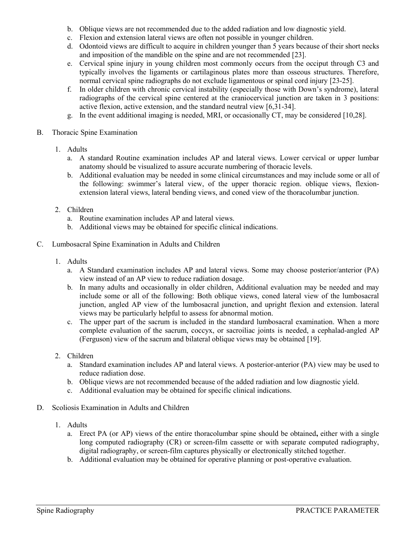- b. Oblique views are not recommended due to the added radiation and low diagnostic yield.
- c. Flexion and extension lateral views are often not possible in younger children.
- d. Odontoid views are difficult to acquire in children younger than 5 years because of their short necks and imposition of the mandible on the spine and are not recommended [\[23\]](#page-7-6).
- e. Cervical spine injury in young children most commonly occurs from the occiput through C3 and typically involves the ligaments or cartilaginous plates more than osseous structures. Therefore, normal cervical spine radiographs do not exclude ligamentous or spinal cord injury [\[23-25\]](#page-7-6).
- f. In older children with chronic cervical instability (especially those with Down's syndrome), lateral radiographs of the cervical spine centered at the craniocervical junction are taken in 3 positions: active flexion, active extension, and the standard neutral view [\[6](#page-7-3)[,31-34\]](#page-8-2).
- g. In the event additional imaging is needed, MRI, or occasionally CT, may be considered [\[10](#page-7-7)[,28\]](#page-7-8).
- B. Thoracic Spine Examination
	- 1. Adults
		- a. A standard Routine examination includes AP and lateral views. Lower cervical or upper lumbar anatomy should be visualized to assure accurate numbering of thoracic levels.
		- b. Additional evaluation may be needed in some clinical circumstances and may include some or all of the following: swimmer's lateral view, of the upper thoracic region. oblique views, flexionextension lateral views, lateral bending views, and coned view of the thoracolumbar junction.
	- 2. Children
		- a. Routine examination includes AP and lateral views.
		- b. Additional views may be obtained for specific clinical indications.
- C. Lumbosacral Spine Examination in Adults and Children
	- 1. Adults
		- a. A Standard examination includes AP and lateral views. Some may choose posterior/anterior (PA) view instead of an AP view to reduce radiation dosage.
		- b. In many adults and occasionally in older children, Additional evaluation may be needed and may include some or all of the following: Both oblique views, coned lateral view of the lumbosacral junction, angled AP view of the lumbosacral junction, and upright flexion and extension. lateral views may be particularly helpful to assess for abnormal motion.
		- c. The upper part of the sacrum is included in the standard lumbosacral examination. When a more complete evaluation of the sacrum, coccyx, or sacroiliac joints is needed, a cephalad-angled AP (Ferguson) view of the sacrum and bilateral oblique views may be obtained [\[19\]](#page-7-9).
	- 2. Children
		- a. Standard examination includes AP and lateral views. A posterior-anterior (PA) view may be used to reduce radiation dose.
		- b. Oblique views are not recommended because of the added radiation and low diagnostic yield.
		- c. Additional evaluation may be obtained for specific clinical indications.
- D. Scoliosis Examination in Adults and Children
	- 1. Adults
		- a. Erect PA (or AP) views of the entire thoracolumbar spine should be obtained**,** either with a single long computed radiography (CR) or screen-film cassette or with separate computed radiography, digital radiography, or screen-film captures physically or electronically stitched together.
		- b. Additional evaluation may be obtained for operative planning or post-operative evaluation.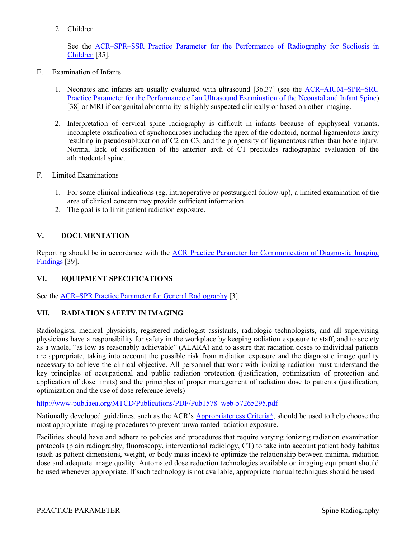2. Children

See the [ACR–SPR–SSR Practice Parameter for the Performance of Radiography for Scoliosis in](https://www.acr.org/-/media/ACR/Files/Practice-Parameters/Scoliosis.pdf)  [Children](https://www.acr.org/-/media/ACR/Files/Practice-Parameters/Scoliosis.pdf) [\[35\]](#page-8-3).

- E. Examination of Infants
	- 1. Neonates and infants are usually evaluated with ultrasound [\[36,](#page-8-4)[37\]](#page-8-5) (see the [ACR–AIUM–SPR–SRU](https://www.acr.org/-/media/ACR/Files/Practice-Parameters/US-NeonatalSpine.pdf)  [Practice Parameter for the Performance of an Ultrasound Examination](https://www.acr.org/-/media/ACR/Files/Practice-Parameters/US-NeonatalSpine.pdf) of the Neonatal and Infant Spine) [\[38\]](#page-8-6) or MRI if congenital abnormality is highly suspected clinically or based on other imaging.
	- 2. Interpretation of cervical spine radiography is difficult in infants because of epiphyseal variants, incomplete ossification of synchondroses including the apex of the odontoid, normal ligamentous laxity resulting in pseudosubluxation of C2 on C3, and the propensity of ligamentous rather than bone injury. Normal lack of ossification of the anterior arch of C1 precludes radiographic evaluation of the atlantodental spine.
- F. Limited Examinations
	- 1. For some clinical indications (eg, intraoperative or postsurgical follow-up), a limited examination of the area of clinical concern may provide sufficient information.
	- 2. The goal is to limit patient radiation exposure.

### **V. DOCUMENTATION**

Reporting should be in accordance with the **ACR Practice Parameter for Communication of Diagnostic Imaging** [Findings](https://www.acr.org/-/media/ACR/Files/Practice-Parameters/CommunicationDiag.pdf) [\[39\]](#page-8-7).

#### **VI. EQUIPMENT SPECIFICATIONS**

See the [ACR–SPR Practice Parameter for General Radiography](https://www.acr.org/-/media/ACR/Files/Practice-Parameters/RadGen.pdf) [\[3\]](#page-6-2).

#### **VII. RADIATION SAFETY IN IMAGING**

Radiologists, medical physicists, registered radiologist assistants, radiologic technologists, and all supervising physicians have a responsibility for safety in the workplace by keeping radiation exposure to staff, and to society as a whole, "as low as reasonably achievable" (ALARA) and to assure that radiation doses to individual patients are appropriate, taking into account the possible risk from radiation exposure and the diagnostic image quality necessary to achieve the clinical objective. All personnel that work with ionizing radiation must understand the key principles of occupational and public radiation protection (justification, optimization of protection and application of dose limits) and the principles of proper management of radiation dose to patients (justification, optimization and the use of dose reference levels)

#### [http://www-pub.iaea.org/MTCD/Publications/PDF/Pub1578\\_web-57265295.pdf](http://www-pub.iaea.org/MTCD/Publications/PDF/Pub1578_web-57265295.pdf)

Nationally developed guidelines, such as the ACR's [Appropriateness Criteria](http://www.acr.org/Clinical-Resources/ACR-Appropriateness-Criteria)®, should be used to help choose the most appropriate imaging procedures to prevent unwarranted radiation exposure.

Facilities should have and adhere to policies and procedures that require varying ionizing radiation examination protocols (plain radiography, fluoroscopy, interventional radiology, CT) to take into account patient body habitus (such as patient dimensions, weight, or body mass index) to optimize the relationship between minimal radiation dose and adequate image quality. Automated dose reduction technologies available on imaging equipment should be used whenever appropriate. If such technology is not available, appropriate manual techniques should be used.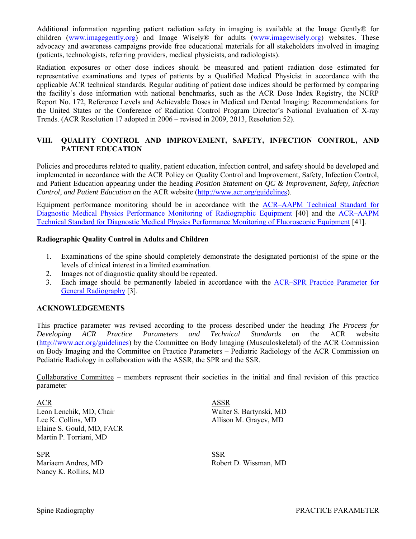Additional information regarding patient radiation safety in imaging is available at the Image Gently® for children [\(www.imagegently.org\)](http://www.imagegently.org/) and Image Wisely® for adults [\(www.imagewisely.org\)](http://www.imagewisely.org/) websites. These advocacy and awareness campaigns provide free educational materials for all stakeholders involved in imaging (patients, technologists, referring providers, medical physicists, and radiologists).

Radiation exposures or other dose indices should be measured and patient radiation dose estimated for representative examinations and types of patients by a Qualified Medical Physicist in accordance with the applicable ACR technical standards. Regular auditing of patient dose indices should be performed by comparing the facility's dose information with national benchmarks, such as the ACR Dose Index Registry, the NCRP Report No. 172, Reference Levels and Achievable Doses in Medical and Dental Imaging: Recommendations for the United States or the Conference of Radiation Control Program Director's National Evaluation of X-ray Trends. (ACR Resolution 17 adopted in 2006 – revised in 2009, 2013, Resolution 52).

## **VIII. QUALITY CONTROL AND IMPROVEMENT, SAFETY, INFECTION CONTROL, AND PATIENT EDUCATION**

Policies and procedures related to quality, patient education, infection control, and safety should be developed and implemented in accordance with the ACR Policy on Quality Control and Improvement, Safety, Infection Control, and Patient Education appearing under the heading *Position Statement on QC & Improvement, Safety, Infection Control*, *and Patient Education* on the ACR website [\(http://www.acr.org/guidelines\)](http://www.acr.org/guidelines).

Equipment performance monitoring should be in accordance with the [ACR–AAPM Technical](https://www.acr.org/-/media/ACR/Files/Practice-Parameters/RadEquip.pdf) Standard for [Diagnostic Medical Physics Performance Monitoring of Radiographic](https://www.acr.org/-/media/ACR/Files/Practice-Parameters/RadEquip.pdf) Equipment [\[40\]](#page-8-8) and the [ACR–AAPM](https://www.acr.org/-/media/ACR/Files/Practice-Parameters/FluoroConEnema.pdf)  Technical [Standard for Diagnostic Medical Physics Performance Monitoring of Fluoroscopic Equipment](https://www.acr.org/-/media/ACR/Files/Practice-Parameters/FluoroConEnema.pdf) [\[41\]](#page-8-9).

## **Radiographic Quality Control in Adults and Children**

- 1. Examinations of the spine should completely demonstrate the designated portion(s) of the spine or the levels of clinical interest in a limited examination.
- 2. Images not of diagnostic quality should be repeated.
- 3. Each image should be permanently labeled in accordance with the [ACR–SPR Practice Parameter for](https://www.acr.org/-/media/ACR/Files/Practice-Parameters/RadGen.pdf)  [General Radiography](https://www.acr.org/-/media/ACR/Files/Practice-Parameters/RadGen.pdf) [\[3\]](#page-6-2).

#### **ACKNOWLEDGEMENTS**

This practice parameter was revised according to the process described under the heading *The Process for Developing ACR Practice Parameters and Technical Standards* on the ACR website [\(http://www.acr.org/guidelines\)](http://www.acr.org/guidelines) by the Committee on Body Imaging (Musculoskeletal) of the ACR Commission on Body Imaging and the Committee on Practice Parameters – Pediatric Radiology of the ACR Commission on Pediatric Radiology in collaboration with the ASSR, the SPR and the SSR.

Collaborative Committee – members represent their societies in the initial and final revision of this practice parameter

ACR ASSR Leon Lenchik, MD, Chair Walter S. Bartynski, MD Lee K. Collins, MD Allison M. Grayev, MD Elaine S. Gould, MD, FACR Martin P. Torriani, MD

SPR SSR Nancy K. Rollins, MD

Mariaem Andres, MD Robert D. Wissman, MD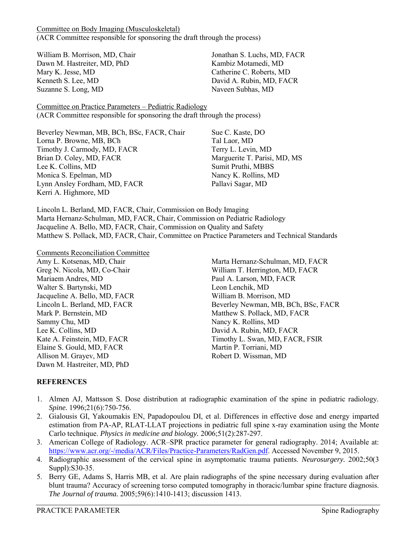Committee on Body Imaging (Musculoskeletal) (ACR Committee responsible for sponsoring the draft through the process)

William B. Morrison, MD, Chair Jonathan S. Luchs, MD, FACR Dawn M. Hastreiter, MD, PhD Kambiz Motamedi, MD Mary K. Jesse, MD Catherine C. Roberts, MD Kenneth S. Lee, MD David A. Rubin, MD, FACR Suzanne S. Long, MD Naveen Subhas, MD

Committee on Practice Parameters – Pediatric Radiology (ACR Committee responsible for sponsoring the draft through the process)

Beverley Newman, MB, BCh, BSc, FACR, Chair Sue C. Kaste, DO Lorna P. Browne, MB, BCh Tal Laor, MD Timothy J. Carmody, MD, FACR Terry L. Levin, MD Brian D. Coley, MD, FACR Marguerite T. Parisi, MD, MS<br>
Lee K. Collins, MD<br>
Sumit Pruthi, MBBS Monica S. Epelman, MD Nancy K. Rollins, MD Lynn Ansley Fordham, MD, FACR Pallavi Sagar, MD Kerri A. Highmore, MD

Sumit Pruthi, MBBS

Lincoln L. Berland, MD, FACR, Chair, Commission on Body Imaging Marta Hernanz-Schulman, MD, FACR, Chair, Commission on Pediatric Radiology Jacqueline A. Bello, MD, FACR, Chair, Commission on Quality and Safety Matthew S. Pollack, MD, FACR, Chair, Committee on Practice Parameters and Technical Standards

Comments Reconciliation Committee

Amy L. Kotsenas, MD, Chair Marta Hernanz-Schulman, MD, FACR Mariaem Andres, MD Paul A. Larson, MD, FACR Walter S. Bartynski, MD Leon Lenchik, MD Jacqueline A. Bello, MD, FACR William B. Morrison, MD Mark P. Bernstein, MD Matthew S. Pollack, MD, FACR Sammy Chu, MD Nancy K. Rollins, MD Lee K. Collins, MD David A. Rubin, MD, FACR Elaine S. Gould, MD, FACR Martin P. Torriani, MD Allison M. Grayev, MD Robert D. Wissman, MD Dawn M. Hastreiter, MD, PhD

Greg N. Nicola, MD, Co-Chair William T. Herrington, MD, FACR Beverley Newman, MB, BCh, BSc, FACR Kate A. Feinstein, MD, FACR Timothy L. Swan, MD, FACR, FSIR

#### **REFERENCES**

- <span id="page-6-0"></span>1. Almen AJ, Mattsson S. Dose distribution at radiographic examination of the spine in pediatric radiology. *Spine.* 1996;21(6):750-756.
- <span id="page-6-1"></span>2. Gialousis GI, Yakoumakis EN, Papadopoulou DI, et al. Differences in effective dose and energy imparted estimation from PA-AP, RLAT-LLAT projections in pediatric full spine x-ray examination using the Monte Carlo technique. *Physics in medicine and biology.* 2006;51(2):287-297.
- <span id="page-6-2"></span>3. American College of Radiology. ACR–SPR practice parameter for general radiography. 2014; Available at: [https://www.acr.org/-/media/ACR/Files/Practice-Parameters/RadGen.pdf.](https://www.acr.org/-/media/ACR/Files/Practice-Parameters/RadGen.pdf) Accessed November 9, 2015.
- <span id="page-6-3"></span>4. Radiographic assessment of the cervical spine in asymptomatic trauma patients. *Neurosurgery.* 2002;50(3 Suppl):S30-35.
- 5. Berry GE, Adams S, Harris MB, et al. Are plain radiographs of the spine necessary during evaluation after blunt trauma? Accuracy of screening torso computed tomography in thoracic/lumbar spine fracture diagnosis. *The Journal of trauma.* 2005;59(6):1410-1413; discussion 1413.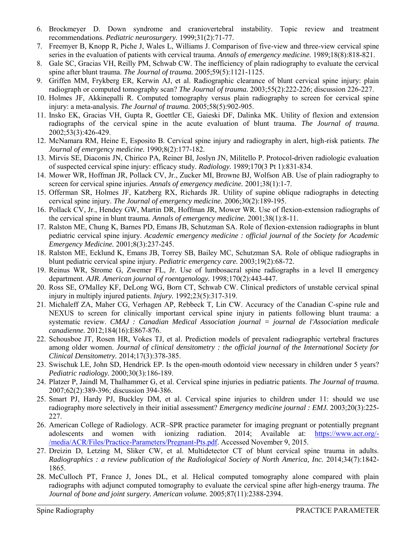- <span id="page-7-3"></span>6. Brockmeyer D. Down syndrome and craniovertebral instability. Topic review and treatment recommendations. *Pediatric neurosurgery.* 1999;31(2):71-77.
- 7. Freemyer B, Knopp R, Piche J, Wales L, Williams J. Comparison of five-view and three-view cervical spine series in the evaluation of patients with cervical trauma. *Annals of emergency medicine.* 1989;18(8):818-821.
- 8. Gale SC, Gracias VH, Reilly PM, Schwab CW. The inefficiency of plain radiography to evaluate the cervical spine after blunt trauma. *The Journal of trauma.* 2005;59(5):1121-1125.
- 9. Griffen MM, Frykberg ER, Kerwin AJ, et al. Radiographic clearance of blunt cervical spine injury: plain radiograph or computed tomography scan? *The Journal of trauma.* 2003;55(2):222-226; discussion 226-227.
- <span id="page-7-7"></span>10. Holmes JF, Akkinepalli R. Computed tomography versus plain radiography to screen for cervical spine injury: a meta-analysis. *The Journal of trauma.* 2005;58(5):902-905.
- 11. Insko EK, Gracias VH, Gupta R, Goettler CE, Gaieski DF, Dalinka MK. Utility of flexion and extension radiographs of the cervical spine in the acute evaluation of blunt trauma. *The Journal of trauma.*  2002;53(3):426-429.
- 12. McNamara RM, Heine E, Esposito B. Cervical spine injury and radiography in alert, high-risk patients. *The Journal of emergency medicine.* 1990;8(2):177-182.
- 13. Mirvis SE, Diaconis JN, Chirico PA, Reiner BI, Joslyn JN, Militello P. Protocol-driven radiologic evaluation of suspected cervical spine injury: efficacy study. *Radiology.* 1989;170(3 Pt 1):831-834.
- 14. Mower WR, Hoffman JR, Pollack CV, Jr., Zucker MI, Browne BJ, Wolfson AB. Use of plain radiography to screen for cervical spine injuries. *Annals of emergency medicine.* 2001;38(1):1-7.
- 15. Offerman SR, Holmes JF, Katzberg RX, Richards JR. Utility of supine oblique radiographs in detecting cervical spine injury. *The Journal of emergency medicine.* 2006;30(2):189-195.
- 16. Pollack CV, Jr., Hendey GW, Martin DR, Hoffman JR, Mower WR. Use of flexion-extension radiographs of the cervical spine in blunt trauma. *Annals of emergency medicine.* 2001;38(1):8-11.
- <span id="page-7-4"></span>17. Ralston ME, Chung K, Barnes PD, Emans JB, Schutzman SA. Role of flexion-extension radiographs in blunt pediatric cervical spine injury. *Academic emergency medicine : official journal of the Society for Academic Emergency Medicine.* 2001;8(3):237-245.
- <span id="page-7-5"></span>18. Ralston ME, Ecklund K, Emans JB, Torrey SB, Bailey MC, Schutzman SA. Role of oblique radiographs in blunt pediatric cervical spine injury. *Pediatric emergency care.* 2003;19(2):68-72.
- <span id="page-7-9"></span>19. Reinus WR, Strome G, Zwemer FL, Jr. Use of lumbosacral spine radiographs in a level II emergency department. *AJR. American journal of roentgenology.* 1998;170(2):443-447.
- <span id="page-7-1"></span>20. Ross SE, O'Malley KF, DeLong WG, Born CT, Schwab CW. Clinical predictors of unstable cervical spinal injury in multiply injured patients. *Injury.* 1992;23(5):317-319.
- 21. Michaleff ZA, Maher CG, Verhagen AP, Rebbeck T, Lin CW. Accuracy of the Canadian C-spine rule and NEXUS to screen for clinically important cervical spine injury in patients following blunt trauma: a systematic review. *CMAJ : Canadian Medical Association journal = journal de l'Association medicale canadienne.* 2012;184(16):E867-876.
- 22. Schousboe JT, Rosen HR, Vokes TJ, et al. Prediction models of prevalent radiographic vertebral fractures among older women. *Journal of clinical densitometry : the official journal of the International Society for Clinical Densitometry.* 2014;17(3):378-385.
- <span id="page-7-6"></span>23. Swischuk LE, John SD, Hendrick EP. Is the open-mouth odontoid view necessary in children under 5 years? *Pediatric radiology.* 2000;30(3):186-189.
- 24. Platzer P, Jaindl M, Thalhammer G, et al. Cervical spine injuries in pediatric patients. *The Journal of trauma.*  2007;62(2):389-396; discussion 394-386.
- 25. Smart PJ, Hardy PJ, Buckley DM, et al. Cervical spine injuries to children under 11: should we use radiography more selectively in their initial assessment? *Emergency medicine journal : EMJ.* 2003;20(3):225- 227.
- <span id="page-7-0"></span>26. American College of Radiology. ACR–SPR practice parameter for imaging pregnant or potentially pregnant adolescents and women with ionizing radiation. 2014; Available at: [https://www.acr.org/-](https://www.acr.org/-/media/ACR/Files/Practice-Parameters/Pregnant-Pts.pdf) [/media/ACR/Files/Practice-Parameters/Pregnant-Pts.pdf.](https://www.acr.org/-/media/ACR/Files/Practice-Parameters/Pregnant-Pts.pdf) Accessed November 9, 2015.
- <span id="page-7-2"></span>27. Dreizin D, Letzing M, Sliker CW, et al. Multidetector CT of blunt cervical spine trauma in adults. *Radiographics : a review publication of the Radiological Society of North America, Inc.* 2014;34(7):1842-1865.
- <span id="page-7-8"></span>28. McCulloch PT, France J, Jones DL, et al. Helical computed tomography alone compared with plain radiographs with adjunct computed tomography to evaluate the cervical spine after high-energy trauma. *The Journal of bone and joint surgery. American volume.* 2005;87(11):2388-2394.